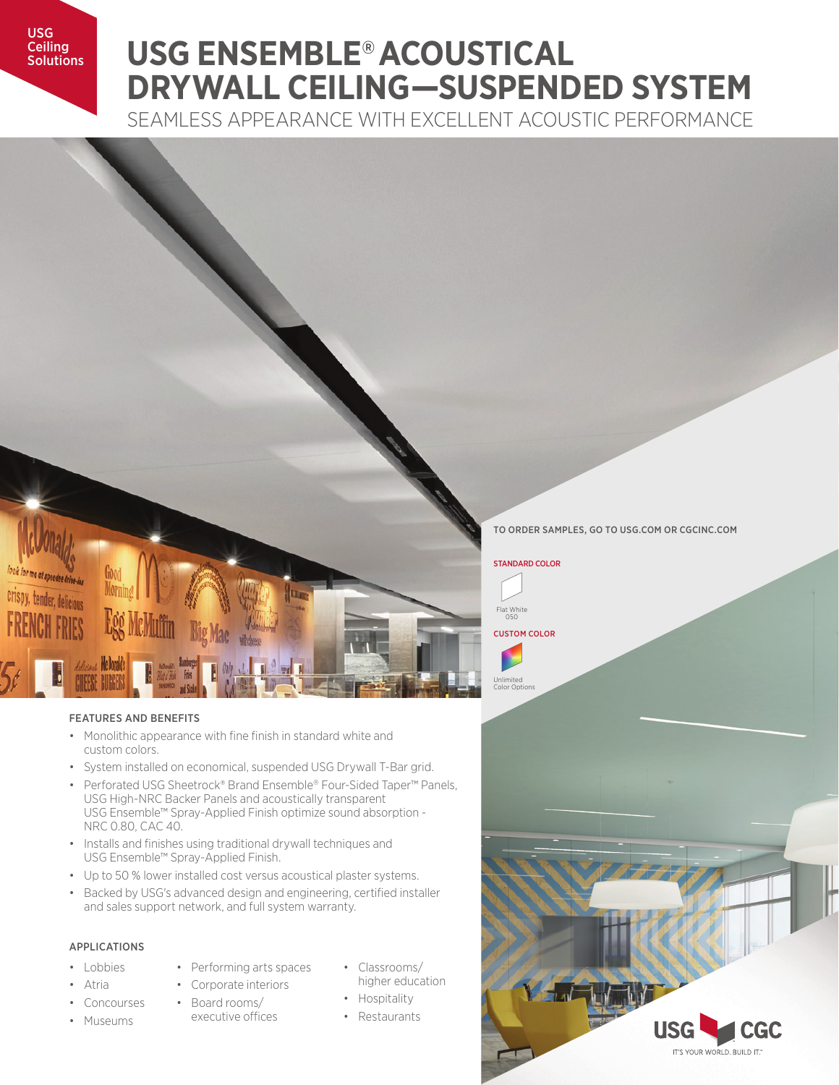USG **Ceiling Solutions** 

# **USG ENSEMBLE® ACOUSTICAL DRYWALL CEILING—SUSPENDED SYSTEM**

SEAMLESS APPEARANCE WITH EXCELLENT ACOUSTIC PERFORMANCE



### FEATURES AND BENEFITS

- Monolithic appearance with fine finish in standard white and custom colors.
- System installed on economical, suspended USG Drywall T-Bar grid.
- Perforated USG Sheetrock® Brand Ensemble® Four-Sided Taper™ Panels, USG High-NRC Backer Panels and acoustically transparent USG Ensemble™ Spray-Applied Finish optimize sound absorption - NRC 0.80, CAC 40.
- Installs and finishes using traditional drywall techniques and USG Ensemble™ Spray-Applied Finish.
- Up to 50 % lower installed cost versus acoustical plaster systems.
- Backed by USG's advanced design and engineering, certified installer and sales support network, and full system warranty.

## APPLICATIONS

• Concourses • Museums

- Lobbies
- Atria
- Performing arts spaces
	- Corporate interiors
		- Board rooms/ executive offices
	-
- Classrooms/ higher education
	- Hospitality
	- Restaurants

TO ORDER SAMPLES, GO TO USG.COM OR CGCINC.COM

### STANDARD COLOR